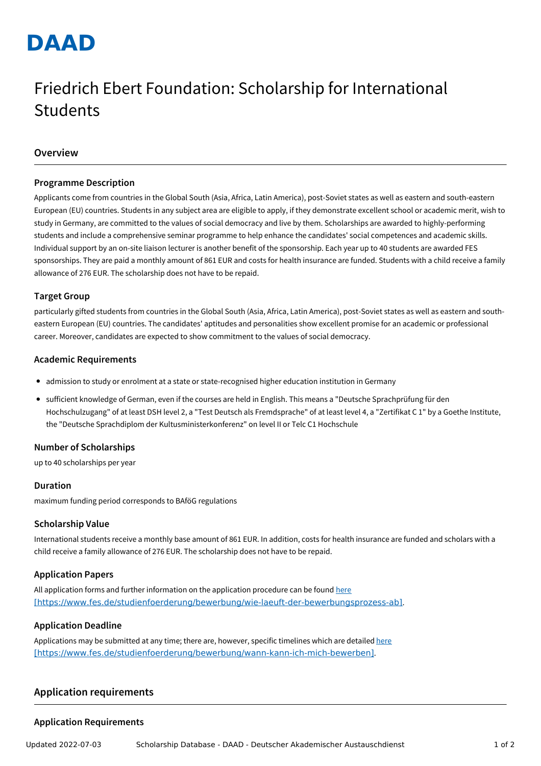# **DAAD**

# Friedrich Ebert Foundation: Scholarship for International Students

# **Overview**

#### **Programme Description**

Applicants come from countries in the Global South (Asia, Africa, Latin America), post-Soviet states as well as eastern and south-eastern European (EU) countries. Students in any subject area are eligible to apply, if they demonstrate excellent school or academic merit, wish to study in Germany, are committed to the values of social democracy and live by them. Scholarships are awarded to highly-performing students and include a comprehensive seminar programme to help enhance the candidates' social competences and academic skills. Individual support by an on-site liaison lecturer is another benefit of the sponsorship. Each year up to 40 students are awarded FES sponsorships. They are paid a monthly amount of 861 EUR and costs for health insurance are funded. Students with a child receive a family allowance of 276 EUR. The scholarship does not have to be repaid.

#### **Target Group**

particularly gifted students from countries in the Global South (Asia, Africa, Latin America), post-Soviet states as well as eastern and southeastern European (EU) countries. The candidates' aptitudes and personalities show excellent promise for an academic or professional career. Moreover, candidates are expected to show commitment to the values of social democracy.

#### **Academic Requirements**

- admission to study or enrolment at a state or state-recognised higher education institution in Germany
- sufficient knowledge of German, even if the courses are held in English. This means a "Deutsche Sprachprüfung für den Hochschulzugang" of at least DSH level 2, a "Test Deutsch als Fremdsprache" of at least level 4, a "Zertifikat C 1" by a Goethe Institute, the "Deutsche Sprachdiplom der Kultusministerkonferenz" on level II or Telc C1 Hochschule

# **Number of Scholarships**

up to 40 scholarships per year

# **Duration**

maximum funding period corresponds to BAföG regulations

#### **Scholarship Value**

International students receive a monthly base amount of 861 EUR. In addition, costs for health insurance are funded and scholars with a child receive a family allowance of 276 EUR. The scholarship does not have to be repaid.

# **Application Papers**

All application forms and further information on the application procedure can be found here [\[https://www.fes.de/studienfoerderung/bewerbung/wie-laeuft-der-bewerbungsprozess-ab\]](https://www.fes.de/studienfoerderung/bewerbung/wie-laeuft-der-bewerbungsprozess-ab).

#### **Application Deadline**

Applications may be submitted at any time; there are, however, specific timelines which are detailed here [\[https://www.fes.de/studienfoerderung/bewerbung/wann-kann-ich-mich-bewerben\]](https://www.fes.de/studienfoerderung/bewerbung/wann-kann-ich-mich-bewerben).

# **Application requirements**

# **Application Requirements**